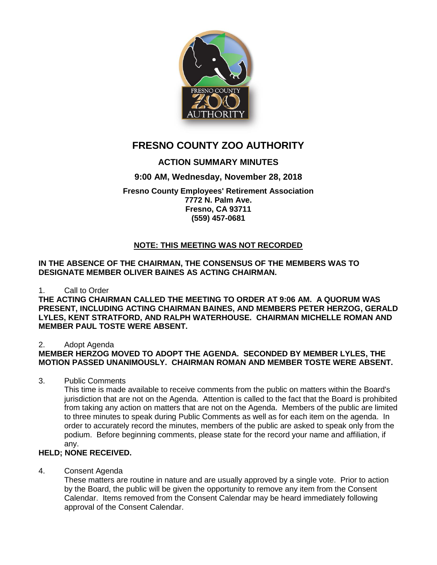

# **FRESNO COUNTY ZOO AUTHORITY**

# **ACTION SUMMARY MINUTES**

# **9:00 AM, Wednesday, November 28, 2018**

**Fresno County Employees' Retirement Association 7772 N. Palm Ave. Fresno, CA 93711 (559) 457-0681**

# **NOTE: THIS MEETING WAS NOT RECORDED**

**IN THE ABSENCE OF THE CHAIRMAN, THE CONSENSUS OF THE MEMBERS WAS TO DESIGNATE MEMBER OLIVER BAINES AS ACTING CHAIRMAN.** 

### 1. Call to Order

**THE ACTING CHAIRMAN CALLED THE MEETING TO ORDER AT 9:06 AM. A QUORUM WAS PRESENT, INCLUDING ACTING CHAIRMAN BAINES, AND MEMBERS PETER HERZOG, GERALD LYLES, KENT STRATFORD, AND RALPH WATERHOUSE. CHAIRMAN MICHELLE ROMAN AND MEMBER PAUL TOSTE WERE ABSENT.**

### 2. Adopt Agenda

### **MEMBER HERZOG MOVED TO ADOPT THE AGENDA. SECONDED BY MEMBER LYLES, THE MOTION PASSED UNANIMOUSLY. CHAIRMAN ROMAN AND MEMBER TOSTE WERE ABSENT.**

3. Public Comments

This time is made available to receive comments from the public on matters within the Board's jurisdiction that are not on the Agenda. Attention is called to the fact that the Board is prohibited from taking any action on matters that are not on the Agenda. Members of the public are limited to three minutes to speak during Public Comments as well as for each item on the agenda. In order to accurately record the minutes, members of the public are asked to speak only from the podium. Before beginning comments, please state for the record your name and affiliation, if any.

### **HELD; NONE RECEIVED.**

4. Consent Agenda

These matters are routine in nature and are usually approved by a single vote. Prior to action by the Board, the public will be given the opportunity to remove any item from the Consent Calendar. Items removed from the Consent Calendar may be heard immediately following approval of the Consent Calendar.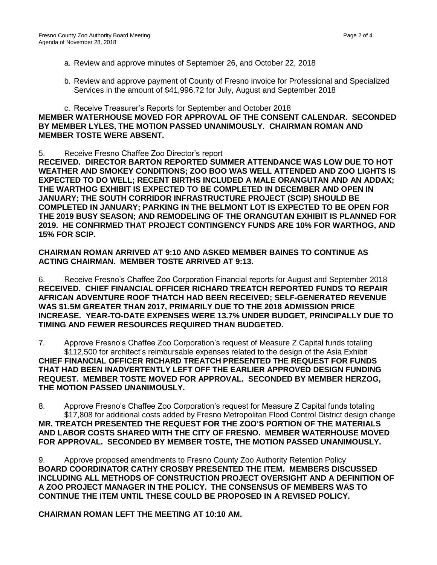- a. Review and approve minutes of September 26, and October 22, 2018
- b. Review and approve payment of County of Fresno invoice for Professional and Specialized Services in the amount of \$41,996.72 for July, August and September 2018

### c. Receive Treasurer's Reports for September and October 2018 **MEMBER WATERHOUSE MOVED FOR APPROVAL OF THE CONSENT CALENDAR. SECONDED BY MEMBER LYLES, THE MOTION PASSED UNANIMOUSLY. CHAIRMAN ROMAN AND MEMBER TOSTE WERE ABSENT.**

5. Receive Fresno Chaffee Zoo Director's report

**RECEIVED. DIRECTOR BARTON REPORTED SUMMER ATTENDANCE WAS LOW DUE TO HOT WEATHER AND SMOKEY CONDITIONS; ZOO BOO WAS WELL ATTENDED AND ZOO LIGHTS IS EXPECTED TO DO WELL; RECENT BIRTHS INCLUDED A MALE ORANGUTAN AND AN ADDAX; THE WARTHOG EXHIBIT IS EXPECTED TO BE COMPLETED IN DECEMBER AND OPEN IN JANUARY; THE SOUTH CORRIDOR INFRASTRUCTURE PROJECT (SCIP) SHOULD BE COMPLETED IN JANUARY; PARKING IN THE BELMONT LOT IS EXPECTED TO BE OPEN FOR THE 2019 BUSY SEASON; AND REMODELING OF THE ORANGUTAN EXHIBIT IS PLANNED FOR 2019. HE CONFIRMED THAT PROJECT CONTINGENCY FUNDS ARE 10% FOR WARTHOG, AND 15% FOR SCIP.** 

### **CHAIRMAN ROMAN ARRIVED AT 9:10 AND ASKED MEMBER BAINES TO CONTINUE AS ACTING CHAIRMAN. MEMBER TOSTE ARRIVED AT 9:13.**

6. Receive Fresno's Chaffee Zoo Corporation Financial reports for August and September 2018 **RECEIVED. CHIEF FINANCIAL OFFICER RICHARD TREATCH REPORTED FUNDS TO REPAIR AFRICAN ADVENTURE ROOF THATCH HAD BEEN RECEIVED; SELF-GENERATED REVENUE WAS \$1.5M GREATER THAN 2017, PRIMARILY DUE TO THE 2018 ADMISSION PRICE INCREASE. YEAR-TO-DATE EXPENSES WERE 13.7% UNDER BUDGET, PRINCIPALLY DUE TO TIMING AND FEWER RESOURCES REQUIRED THAN BUDGETED.** 

7. Approve Fresno's Chaffee Zoo Corporation's request of Measure Z Capital funds totaling \$112,500 for architect's reimbursable expenses related to the design of the Asia Exhibit **CHIEF FINANCIAL OFFICER RICHARD TREATCH PRESENTED THE REQUEST FOR FUNDS THAT HAD BEEN INADVERTENTLY LEFT OFF THE EARLIER APPROVED DESIGN FUNDING REQUEST. MEMBER TOSTE MOVED FOR APPROVAL. SECONDED BY MEMBER HERZOG, THE MOTION PASSED UNANIMOUSLY.** 

8. Approve Fresno's Chaffee Zoo Corporation's request for Measure Z Capital funds totaling \$17,808 for additional costs added by Fresno Metropolitan Flood Control District design change **MR. TREATCH PRESENTED THE REQUEST FOR THE ZOO'S PORTION OF THE MATERIALS AND LABOR COSTS SHARED WITH THE CITY OF FRESNO. MEMBER WATERHOUSE MOVED FOR APPROVAL. SECONDED BY MEMBER TOSTE, THE MOTION PASSED UNANIMOUSLY.** 

9. Approve proposed amendments to Fresno County Zoo Authority Retention Policy **BOARD COORDINATOR CATHY CROSBY PRESENTED THE ITEM. MEMBERS DISCUSSED INCLUDING ALL METHODS OF CONSTRUCTION PROJECT OVERSIGHT AND A DEFINITION OF A ZOO PROJECT MANAGER IN THE POLICY. THE CONSENSUS OF MEMBERS WAS TO CONTINUE THE ITEM UNTIL THESE COULD BE PROPOSED IN A REVISED POLICY.**

**CHAIRMAN ROMAN LEFT THE MEETING AT 10:10 AM.**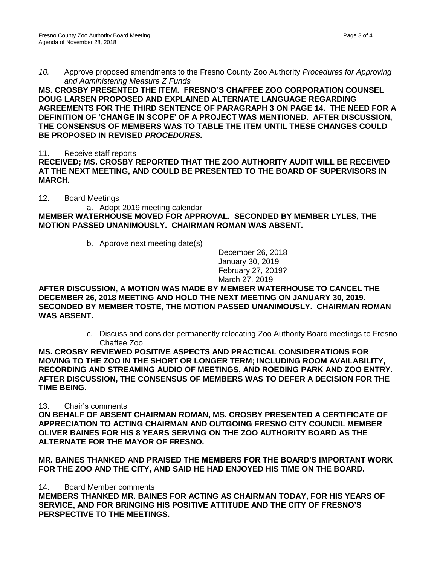*10.* Approve proposed amendments to the Fresno County Zoo Authority *Procedures for Approving and Administering Measure Z Funds*

**MS. CROSBY PRESENTED THE ITEM. FRESNO'S CHAFFEE ZOO CORPORATION COUNSEL DOUG LARSEN PROPOSED AND EXPLAINED ALTERNATE LANGUAGE REGARDING AGREEMENTS FOR THE THIRD SENTENCE OF PARAGRAPH 3 ON PAGE 14. THE NEED FOR A DEFINITION OF 'CHANGE IN SCOPE' OF A PROJECT WAS MENTIONED. AFTER DISCUSSION, THE CONSENSUS OF MEMBERS WAS TO TABLE THE ITEM UNTIL THESE CHANGES COULD BE PROPOSED IN REVISED** *PROCEDURES.*

11. Receive staff reports

**RECEIVED; MS. CROSBY REPORTED THAT THE ZOO AUTHORITY AUDIT WILL BE RECEIVED AT THE NEXT MEETING, AND COULD BE PRESENTED TO THE BOARD OF SUPERVISORS IN MARCH.**

12. Board Meetings

a. Adopt 2019 meeting calendar **MEMBER WATERHOUSE MOVED FOR APPROVAL. SECONDED BY MEMBER LYLES, THE MOTION PASSED UNANIMOUSLY. CHAIRMAN ROMAN WAS ABSENT.**

b. Approve next meeting date(s)

December 26, 2018 January 30, 2019 February 27, 2019? March 27, 2019

**AFTER DISCUSSION, A MOTION WAS MADE BY MEMBER WATERHOUSE TO CANCEL THE DECEMBER 26, 2018 MEETING AND HOLD THE NEXT MEETING ON JANUARY 30, 2019. SECONDED BY MEMBER TOSTE, THE MOTION PASSED UNANIMOUSLY. CHAIRMAN ROMAN WAS ABSENT.**

> c. Discuss and consider permanently relocating Zoo Authority Board meetings to Fresno Chaffee Zoo

**MS. CROSBY REVIEWED POSITIVE ASPECTS AND PRACTICAL CONSIDERATIONS FOR MOVING TO THE ZOO IN THE SHORT OR LONGER TERM; INCLUDING ROOM AVAILABILITY, RECORDING AND STREAMING AUDIO OF MEETINGS, AND ROEDING PARK AND ZOO ENTRY. AFTER DISCUSSION, THE CONSENSUS OF MEMBERS WAS TO DEFER A DECISION FOR THE TIME BEING.**

13. Chair's comments

**ON BEHALF OF ABSENT CHAIRMAN ROMAN, MS. CROSBY PRESENTED A CERTIFICATE OF APPRECIATION TO ACTING CHAIRMAN AND OUTGOING FRESNO CITY COUNCIL MEMBER OLIVER BAINES FOR HIS 8 YEARS SERVING ON THE ZOO AUTHORITY BOARD AS THE ALTERNATE FOR THE MAYOR OF FRESNO.**

**MR. BAINES THANKED AND PRAISED THE MEMBERS FOR THE BOARD'S IMPORTANT WORK FOR THE ZOO AND THE CITY, AND SAID HE HAD ENJOYED HIS TIME ON THE BOARD.**

14. Board Member comments

**MEMBERS THANKED MR. BAINES FOR ACTING AS CHAIRMAN TODAY, FOR HIS YEARS OF SERVICE, AND FOR BRINGING HIS POSITIVE ATTITUDE AND THE CITY OF FRESNO'S PERSPECTIVE TO THE MEETINGS.**